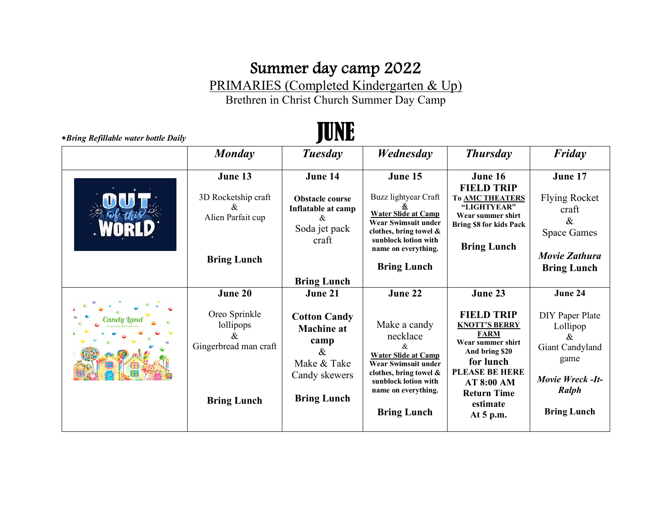## Summer day camp 2022

PRIMARIES (Completed Kindergarten & Up)

Brethren in Christ Church Summer Day Camp

\**Bring Refillable water bottle Daily* JUNE

| Monday                                                                                    | Tuesday                                                                                                                   | Wednesday                                                                                                                                                                                      | <b>Thursday</b>                                                                                                                                                                                          | Friday                                                                                                                    |
|-------------------------------------------------------------------------------------------|---------------------------------------------------------------------------------------------------------------------------|------------------------------------------------------------------------------------------------------------------------------------------------------------------------------------------------|----------------------------------------------------------------------------------------------------------------------------------------------------------------------------------------------------------|---------------------------------------------------------------------------------------------------------------------------|
| June 13<br>3D Rocketship craft<br>Xv.<br>Alien Parfait cup<br><b>Bring Lunch</b>          | June 14<br><b>Obstacle course</b><br>Inflatable at camp<br>&<br>Soda jet pack<br>craft                                    | June 15<br>Buzz lightyear Craft<br><b>Water Slide at Camp</b><br>Wear Swimsuit under<br>clothes, bring towel $\&$<br>sunblock lotion with<br>name on everything.                               | June 16<br><b>FIELD TRIP</b><br><b>To AMC THEATERS</b><br>"LIGHTYEAR"<br>Wear summer shirt<br><b>Bring \$8 for kids Pack</b><br><b>Bring Lunch</b>                                                       | June 17<br><b>Flying Rocket</b><br>craft<br>&<br><b>Space Games</b><br>Movie Zathura                                      |
|                                                                                           | <b>Bring Lunch</b>                                                                                                        | <b>Bring Lunch</b>                                                                                                                                                                             |                                                                                                                                                                                                          | <b>Bring Lunch</b>                                                                                                        |
| June 20<br>Oreo Sprinkle<br>lollipops<br>ά<br>Gingerbread man craft<br><b>Bring Lunch</b> | June 21<br><b>Cotton Candy</b><br><b>Machine</b> at<br>camp<br>$\&$<br>Make & Take<br>Candy skewers<br><b>Bring Lunch</b> | June 22<br>Make a candy<br>necklace<br><b>Water Slide at Camp</b><br><b>Wear Swimsuit under</b><br>clothes, bring towel &<br>sunblock lotion with<br>name on everything.<br><b>Bring Lunch</b> | June 23<br><b>FIELD TRIP</b><br><b>KNOTT'S BERRY</b><br><b>FARM</b><br>Wear summer shirt<br>And bring \$20<br>for lunch<br>PLEASE BE HERE<br>AT 8:00 AM<br><b>Return Time</b><br>estimate<br>At $5$ p.m. | June 24<br>DIY Paper Plate<br>Lollipop<br>&<br>Giant Candyland<br>game<br>Movie Wreck -It-<br>Ralph<br><b>Bring Lunch</b> |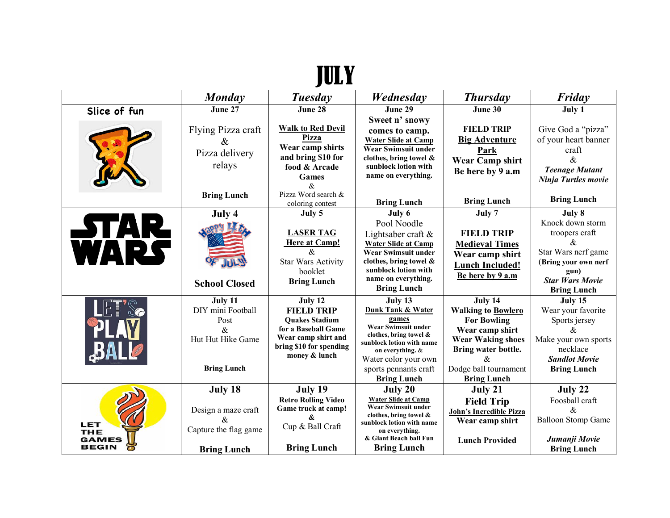## JULY

|                                                   | <b>Monday</b>                                                                                                  | <b>Tuesday</b>                                                                                                                                  | Wednesday                                                                                                                                                                                                      | <b>Thursday</b>                                                                                                                                                                       | Friday                                                                                                                                                    |
|---------------------------------------------------|----------------------------------------------------------------------------------------------------------------|-------------------------------------------------------------------------------------------------------------------------------------------------|----------------------------------------------------------------------------------------------------------------------------------------------------------------------------------------------------------------|---------------------------------------------------------------------------------------------------------------------------------------------------------------------------------------|-----------------------------------------------------------------------------------------------------------------------------------------------------------|
| Slice of fun                                      | June 27                                                                                                        | June 28                                                                                                                                         | June 29                                                                                                                                                                                                        | June 30                                                                                                                                                                               | July 1                                                                                                                                                    |
|                                                   | Flying Pizza craft<br>$\&$<br>Pizza delivery<br>relays                                                         | <b>Walk to Red Devil</b><br>Pizza<br>Wear camp shirts<br>and bring \$10 for<br>food & Arcade<br><b>Games</b><br>&                               | Sweet n' snowy<br>comes to camp.<br><b>Water Slide at Camp</b><br><b>Wear Swimsuit under</b><br>clothes, bring towel $\&$<br>sunblock lotion with<br>name on everything.                                       | <b>FIELD TRIP</b><br><b>Big Adventure</b><br>Park<br><b>Wear Camp shirt</b><br>Be here by 9 a.m                                                                                       | Give God a "pizza"<br>of your heart banner<br>craft<br>$\mathcal{R}_{\mathcal{L}}$<br><b>Teenage Mutant</b><br>Ninja Turtles movie                        |
|                                                   | <b>Bring Lunch</b>                                                                                             | Pizza Word search &<br>coloring contest                                                                                                         | <b>Bring Lunch</b>                                                                                                                                                                                             | <b>Bring Lunch</b>                                                                                                                                                                    | <b>Bring Lunch</b>                                                                                                                                        |
| <b>STAR</b><br>WARS                               | July 4<br><b>School Closed</b>                                                                                 | July 5<br><b>LASER TAG</b><br>Here at Camp!<br>$\mathcal{R}_{\mathcal{L}}$<br><b>Star Wars Activity</b><br>booklet<br><b>Bring Lunch</b>        | July 6<br>Pool Noodle<br>Lightsaber craft $&$<br><b>Water Slide at Camp</b><br>Wear Swimsuit under<br>clothes, bring towel &<br>sunblock lotion with<br>name on everything.<br><b>Bring Lunch</b>              | July 7<br><b>FIELD TRIP</b><br><b>Medieval Times</b><br>Wear camp shirt<br><b>Lunch Included!</b><br>Be here by 9 a.m                                                                 | July 8<br>Knock down storm<br>troopers craft<br>&.<br>Star Wars nerf game<br>(Bring your own nerf<br>gun)<br><b>Star Wars Movie</b><br><b>Bring Lunch</b> |
|                                                   | July 11<br>DIY mini Football<br>Post<br>$\mathcal{R}_{\mathcal{L}}$<br>Hut Hut Hike Game<br><b>Bring Lunch</b> | July 12<br><b>FIELD TRIP</b><br><b>Ouakes Stadium</b><br>for a Baseball Game<br>Wear camp shirt and<br>bring \$10 for spending<br>money & lunch | July 13<br>Dunk Tank & Water<br>games<br>Wear Swimsuit under<br>clothes, bring towel &<br>sunblock lotion with name<br>on everything. &<br>Water color your own<br>sports pennants craft<br><b>Bring Lunch</b> | July 14<br><b>Walking to Bowlero</b><br><b>For Bowling</b><br>Wear camp shirt<br><b>Wear Waking shoes</b><br>Bring water bottle.<br>&.<br>Dodge ball tournament<br><b>Bring Lunch</b> | July 15<br>Wear your favorite<br>Sports jersey<br>Xr.<br>Make your own sports<br>necklace<br><b>Sandlot Movie</b><br><b>Bring Lunch</b>                   |
| LET<br><b>THE</b><br><b>GAMES</b><br><b>BEGIN</b> | July 18<br>Design a maze craft<br>Capture the flag game<br><b>Bring Lunch</b>                                  | July 19<br><b>Retro Rolling Video</b><br>Game truck at camp!<br>$\mathbf{\mathbf{k}}$<br>Cup & Ball Craft<br><b>Bring Lunch</b>                 | July 20<br><b>Water Slide at Camp</b><br>Wear Swimsuit under<br>clothes, bring towel &<br>sunblock lotion with name<br>on everything.<br>& Giant Beach ball Fun<br><b>Bring Lunch</b>                          | July 21<br><b>Field Trip</b><br><b>John's Incredible Pizza</b><br>Wear camp shirt<br><b>Lunch Provided</b>                                                                            | July 22<br>Foosball craft<br>&.<br><b>Balloon Stomp Game</b><br>Jumanji Movie<br><b>Bring Lunch</b>                                                       |